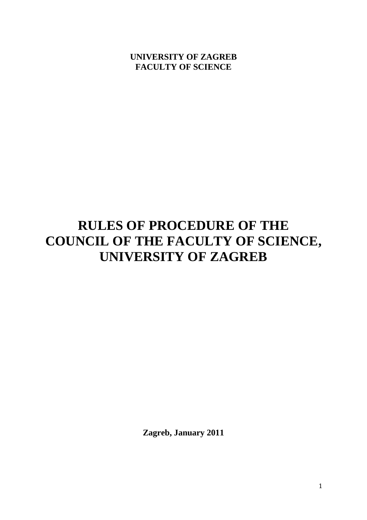# **UNIVERSITY OF ZAGREB FACULTY OF SCIENCE**

# **RULES OF PROCEDURE OF THE COUNCIL OF THE FACULTY OF SCIENCE, UNIVERSITY OF ZAGREB**

**Zagreb, January 2011**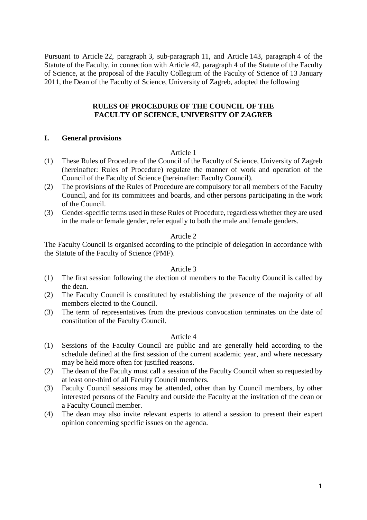Pursuant to Article 22, paragraph 3, sub-paragraph 11, and Article 143, paragraph 4 of the Statute of the Faculty, in connection with Article 42, paragraph 4 of the Statute of the Faculty of Science, at the proposal of the Faculty Collegium of the Faculty of Science of 13 January 2011, the Dean of the Faculty of Science, University of Zagreb, adopted the following

## **RULES OF PROCEDURE OF THE COUNCIL OF THE FACULTY OF SCIENCE, UNIVERSITY OF ZAGREB**

## **I. General provisions**

## Article 1

- (1) These Rules of Procedure of the Council of the Faculty of Science, University of Zagreb (hereinafter: Rules of Procedure) regulate the manner of work and operation of the Council of the Faculty of Science (hereinafter: Faculty Council).
- (2) The provisions of the Rules of Procedure are compulsory for all members of the Faculty Council, and for its committees and boards, and other persons participating in the work of the Council.
- (3) Gender-specific terms used in these Rules of Procedure, regardless whether they are used in the male or female gender, refer equally to both the male and female genders.

## Article 2

The Faculty Council is organised according to the principle of delegation in accordance with the Statute of the Faculty of Science (PMF).

## Article 3

- (1) The first session following the election of members to the Faculty Council is called by the dean.
- (2) The Faculty Council is constituted by establishing the presence of the majority of all members elected to the Council.
- (3) The term of representatives from the previous convocation terminates on the date of constitution of the Faculty Council.

## Article 4

- (1) Sessions of the Faculty Council are public and are generally held according to the schedule defined at the first session of the current academic year, and where necessary may be held more often for justified reasons.
- (2) The dean of the Faculty must call a session of the Faculty Council when so requested by at least one-third of all Faculty Council members.
- (3) Faculty Council sessions may be attended, other than by Council members, by other interested persons of the Faculty and outside the Faculty at the invitation of the dean or a Faculty Council member.
- (4) The dean may also invite relevant experts to attend a session to present their expert opinion concerning specific issues on the agenda.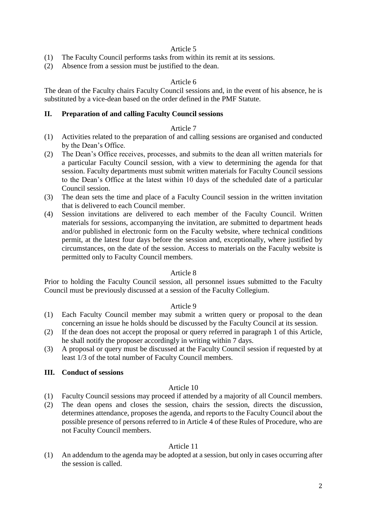## Article 5

- (1) The Faculty Council performs tasks from within its remit at its sessions.
- (2) Absence from a session must be justified to the dean.

## Article 6

The dean of the Faculty chairs Faculty Council sessions and, in the event of his absence, he is substituted by a vice-dean based on the order defined in the PMF Statute.

## **II. Preparation of and calling Faculty Council sessions**

### Article 7

- (1) Activities related to the preparation of and calling sessions are organised and conducted by the Dean's Office.
- (2) The Dean's Office receives, processes, and submits to the dean all written materials for a particular Faculty Council session, with a view to determining the agenda for that session. Faculty departments must submit written materials for Faculty Council sessions to the Dean's Office at the latest within 10 days of the scheduled date of a particular Council session.
- (3) The dean sets the time and place of a Faculty Council session in the written invitation that is delivered to each Council member.
- (4) Session invitations are delivered to each member of the Faculty Council. Written materials for sessions, accompanying the invitation, are submitted to department heads and/or published in electronic form on the Faculty website, where technical conditions permit, at the latest four days before the session and, exceptionally, where justified by circumstances, on the date of the session. Access to materials on the Faculty website is permitted only to Faculty Council members.

## Article 8

Prior to holding the Faculty Council session, all personnel issues submitted to the Faculty Council must be previously discussed at a session of the Faculty Collegium.

## Article 9

- (1) Each Faculty Council member may submit a written query or proposal to the dean concerning an issue he holds should be discussed by the Faculty Council at its session.
- (2) If the dean does not accept the proposal or query referred in paragraph 1 of this Article, he shall notify the proposer accordingly in writing within 7 days.
- (3) A proposal or query must be discussed at the Faculty Council session if requested by at least 1/3 of the total number of Faculty Council members.

## **III. Conduct of sessions**

## Article 10

- (1) Faculty Council sessions may proceed if attended by a majority of all Council members.
- (2) The dean opens and closes the session, chairs the session, directs the discussion, determines attendance, proposes the agenda, and reports to the Faculty Council about the possible presence of persons referred to in Article 4 of these Rules of Procedure, who are not Faculty Council members.

## Article 11

(1) An addendum to the agenda may be adopted at a session, but only in cases occurring after the session is called.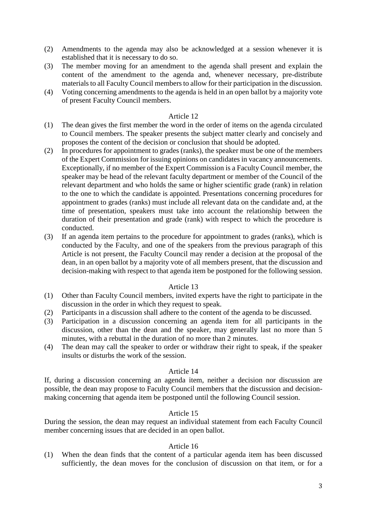- (2) Amendments to the agenda may also be acknowledged at a session whenever it is established that it is necessary to do so.
- (3) The member moving for an amendment to the agenda shall present and explain the content of the amendment to the agenda and, whenever necessary, pre-distribute materials to all Faculty Council members to allow for their participation in the discussion.
- (4) Voting concerning amendments to the agenda is held in an open ballot by a majority vote of present Faculty Council members.

## Article 12

- (1) The dean gives the first member the word in the order of items on the agenda circulated to Council members. The speaker presents the subject matter clearly and concisely and proposes the content of the decision or conclusion that should be adopted.
- (2) In procedures for appointment to grades (ranks), the speaker must be one of the members of the Expert Commission for issuing opinions on candidates in vacancy announcements. Exceptionally, if no member of the Expert Commission is a Faculty Council member, the speaker may be head of the relevant faculty department or member of the Council of the relevant department and who holds the same or higher scientific grade (rank) in relation to the one to which the candidate is appointed. Presentations concerning procedures for appointment to grades (ranks) must include all relevant data on the candidate and, at the time of presentation, speakers must take into account the relationship between the duration of their presentation and grade (rank) with respect to which the procedure is conducted.
- (3) If an agenda item pertains to the procedure for appointment to grades (ranks), which is conducted by the Faculty, and one of the speakers from the previous paragraph of this Article is not present, the Faculty Council may render a decision at the proposal of the dean, in an open ballot by a majority vote of all members present, that the discussion and decision-making with respect to that agenda item be postponed for the following session.

#### Article 13

- (1) Other than Faculty Council members, invited experts have the right to participate in the discussion in the order in which they request to speak.
- (2) Participants in a discussion shall adhere to the content of the agenda to be discussed.
- (3) Participation in a discussion concerning an agenda item for all participants in the discussion, other than the dean and the speaker, may generally last no more than 5 minutes, with a rebuttal in the duration of no more than 2 minutes.
- (4) The dean may call the speaker to order or withdraw their right to speak, if the speaker insults or disturbs the work of the session.

## Article 14

If, during a discussion concerning an agenda item, neither a decision nor discussion are possible, the dean may propose to Faculty Council members that the discussion and decisionmaking concerning that agenda item be postponed until the following Council session.

## Article 15

During the session, the dean may request an individual statement from each Faculty Council member concerning issues that are decided in an open ballot.

## Article 16

(1) When the dean finds that the content of a particular agenda item has been discussed sufficiently, the dean moves for the conclusion of discussion on that item, or for a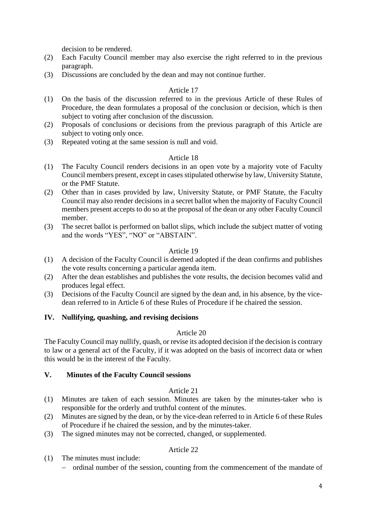decision to be rendered.

- (2) Each Faculty Council member may also exercise the right referred to in the previous paragraph.
- (3) Discussions are concluded by the dean and may not continue further.

## Article 17

- (1) On the basis of the discussion referred to in the previous Article of these Rules of Procedure, the dean formulates a proposal of the conclusion or decision, which is then subject to voting after conclusion of the discussion.
- (2) Proposals of conclusions or decisions from the previous paragraph of this Article are subject to voting only once.
- (3) Repeated voting at the same session is null and void.

## Article 18

- (1) The Faculty Council renders decisions in an open vote by a majority vote of Faculty Council members present, except in cases stipulated otherwise by law, University Statute, or the PMF Statute.
- (2) Other than in cases provided by law, University Statute, or PMF Statute, the Faculty Council may also render decisions in a secret ballot when the majority of Faculty Council members present accepts to do so at the proposal of the dean or any other Faculty Council member.
- (3) The secret ballot is performed on ballot slips, which include the subject matter of voting and the words "YES", "NO" or "ABSTAIN".

## Article 19

- (1) A decision of the Faculty Council is deemed adopted if the dean confirms and publishes the vote results concerning a particular agenda item.
- (2) After the dean establishes and publishes the vote results, the decision becomes valid and produces legal effect.
- (3) Decisions of the Faculty Council are signed by the dean and, in his absence, by the vicedean referred to in Article 6 of these Rules of Procedure if he chaired the session.

## **IV. Nullifying, quashing, and revising decisions**

## Article 20

The Faculty Council may nullify, quash, or revise its adopted decision if the decision is contrary to law or a general act of the Faculty, if it was adopted on the basis of incorrect data or when this would be in the interest of the Faculty.

## **V. Minutes of the Faculty Council sessions**

## Article 21

- (1) Minutes are taken of each session. Minutes are taken by the minutes-taker who is responsible for the orderly and truthful content of the minutes.
- (2) Minutes are signed by the dean, or by the vice-dean referred to in Article 6 of these Rules of Procedure if he chaired the session, and by the minutes-taker.
- (3) The signed minutes may not be corrected, changed, or supplemented.

# Article 22

- (1) The minutes must include:
	- − ordinal number of the session, counting from the commencement of the mandate of